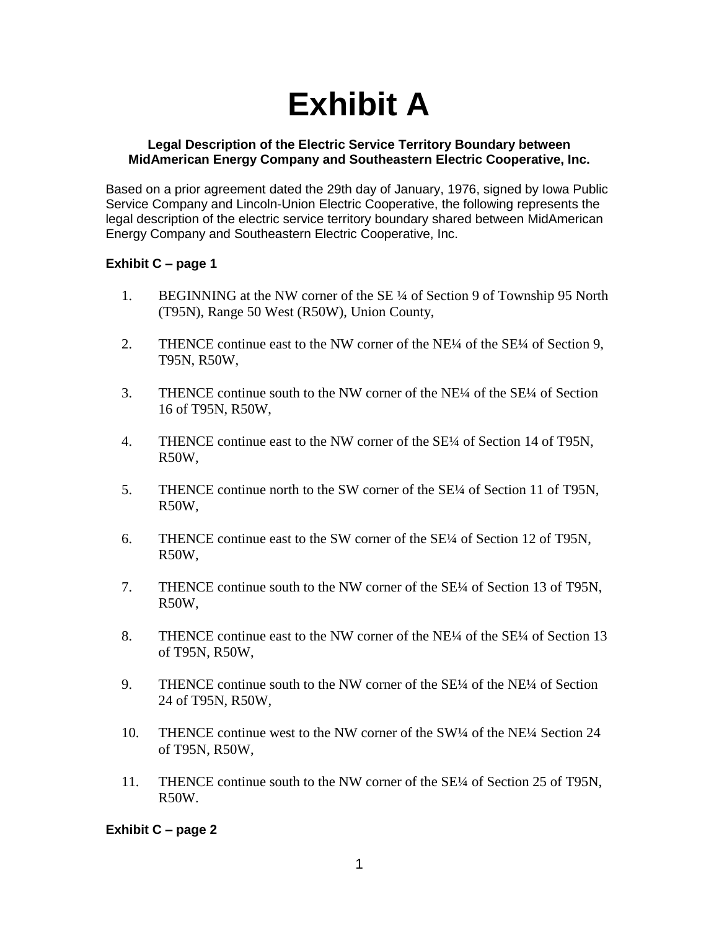# **Exhibit A**

#### **Legal Description of the Electric Service Territory Boundary between MidAmerican Energy Company and Southeastern Electric Cooperative, Inc.**

Based on a prior agreement dated the 29th day of January, 1976, signed by Iowa Public Service Company and Lincoln-Union Electric Cooperative, the following represents the legal description of the electric service territory boundary shared between MidAmerican Energy Company and Southeastern Electric Cooperative, Inc.

# **Exhibit C – page 1**

- 1. BEGINNING at the NW corner of the SE ¼ of Section 9 of Township 95 North (T95N), Range 50 West (R50W), Union County,
- 2. THENCE continue east to the NW corner of the NE<sup>1/4</sup> of the SE<sup>1/4</sup> of Section 9, T95N, R50W,
- 3. THENCE continue south to the NW corner of the NE¼ of the SE¼ of Section 16 of T95N, R50W,
- 4. THENCE continue east to the NW corner of the SE¼ of Section 14 of T95N, R50W,
- 5. THENCE continue north to the SW corner of the SE<sup>1</sup>/4 of Section 11 of T95N, R50W,
- 6. THENCE continue east to the SW corner of the SE¼ of Section 12 of T95N, R50W,
- 7. THENCE continue south to the NW corner of the SE¼ of Section 13 of T95N, R50W,
- 8. THENCE continue east to the NW corner of the NE¼ of the SE¼ of Section 13 of T95N, R50W,
- 9. THENCE continue south to the NW corner of the SE¼ of the NE¼ of Section 24 of T95N, R50W,
- 10. THENCE continue west to the NW corner of the SW¼ of the NE¼ Section 24 of T95N, R50W,
- 11. THENCE continue south to the NW corner of the SE<sup>1/4</sup> of Section 25 of T95N, R50W.

**Exhibit C – page 2**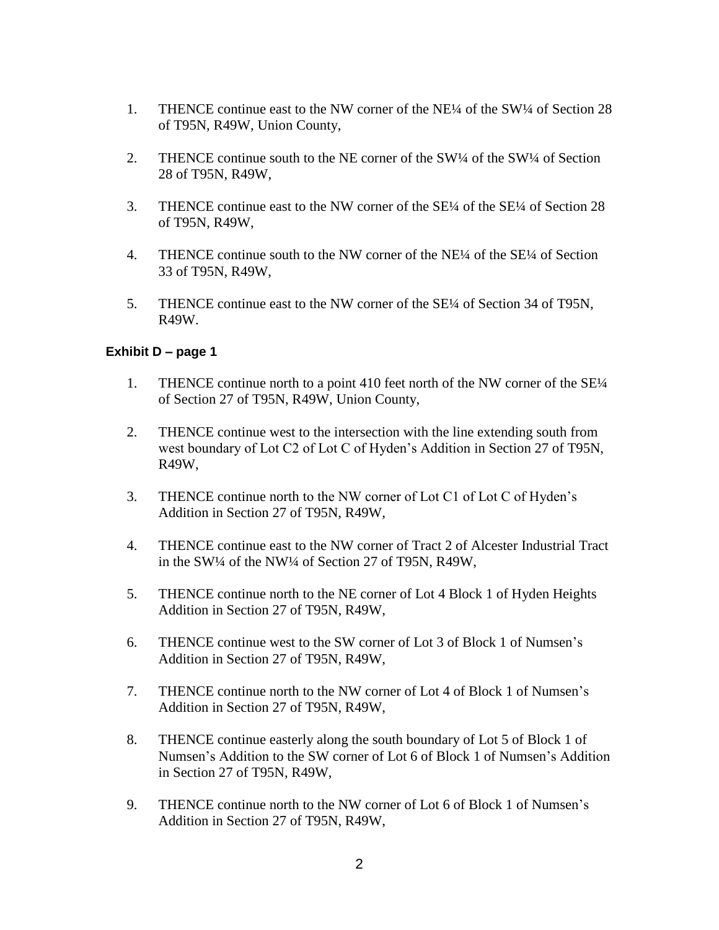- 1. THENCE continue east to the NW corner of the NE¼ of the SW¼ of Section 28 of T95N, R49W, Union County,
- 2. THENCE continue south to the NE corner of the SW¼ of the SW¼ of Section 28 of T95N, R49W,
- 3. THENCE continue east to the NW corner of the SE¼ of the SE¼ of Section 28 of T95N, R49W,
- 4. THENCE continue south to the NW corner of the NE<sup>1</sup>/4 of the SE<sup>1</sup>/4 of Section 33 of T95N, R49W,
- 5. THENCE continue east to the NW corner of the SE¼ of Section 34 of T95N, R49W.

# **Exhibit D – page 1**

- 1. THENCE continue north to a point 410 feet north of the NW corner of the SE¼ of Section 27 of T95N, R49W, Union County,
- 2. THENCE continue west to the intersection with the line extending south from west boundary of Lot C2 of Lot C of Hyden's Addition in Section 27 of T95N, R49W,
- 3. THENCE continue north to the NW corner of Lot C1 of Lot C of Hyden's Addition in Section 27 of T95N, R49W,
- 4. THENCE continue east to the NW corner of Tract 2 of Alcester Industrial Tract in the SW¼ of the NW¼ of Section 27 of T95N, R49W,
- 5. THENCE continue north to the NE corner of Lot 4 Block 1 of Hyden Heights Addition in Section 27 of T95N, R49W,
- 6. THENCE continue west to the SW corner of Lot 3 of Block 1 of Numsen's Addition in Section 27 of T95N, R49W,
- 7. THENCE continue north to the NW corner of Lot 4 of Block 1 of Numsen's Addition in Section 27 of T95N, R49W,
- 8. THENCE continue easterly along the south boundary of Lot 5 of Block 1 of Numsen's Addition to the SW corner of Lot 6 of Block 1 of Numsen's Addition in Section 27 of T95N, R49W,
- 9. THENCE continue north to the NW corner of Lot 6 of Block 1 of Numsen's Addition in Section 27 of T95N, R49W,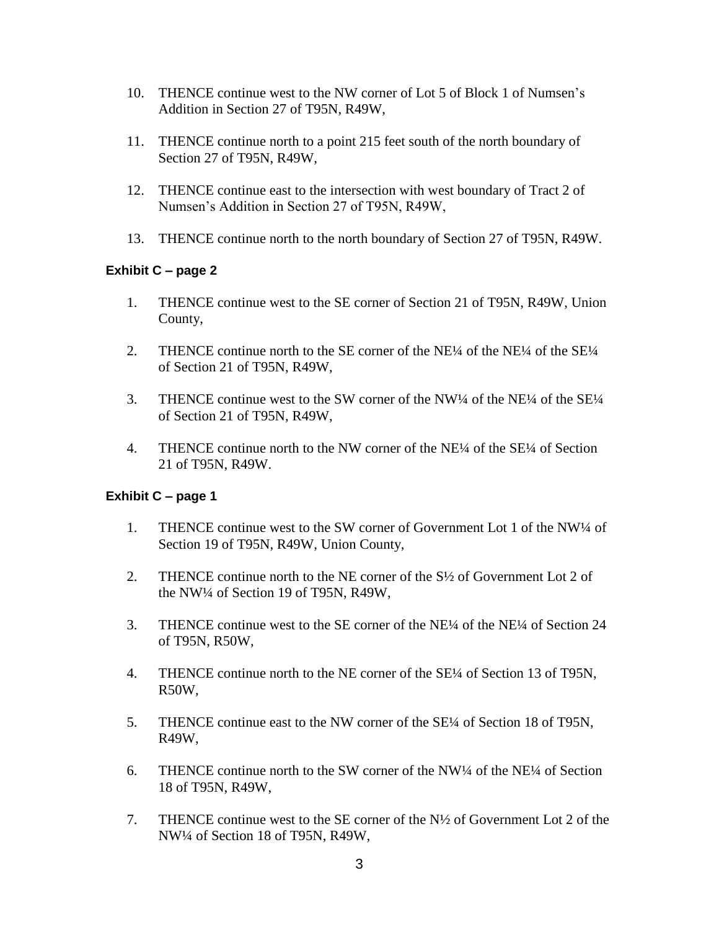- 10. THENCE continue west to the NW corner of Lot 5 of Block 1 of Numsen's Addition in Section 27 of T95N, R49W,
- 11. THENCE continue north to a point 215 feet south of the north boundary of Section 27 of T95N, R49W,
- 12. THENCE continue east to the intersection with west boundary of Tract 2 of Numsen's Addition in Section 27 of T95N, R49W,
- 13. THENCE continue north to the north boundary of Section 27 of T95N, R49W.

# **Exhibit C – page 2**

- 1. THENCE continue west to the SE corner of Section 21 of T95N, R49W, Union County,
- 2. THENCE continue north to the SE corner of the NE<sup>1/4</sup> of the NE<sup>1/4</sup> of the SE<sup>1/4</sup> of Section 21 of T95N, R49W,
- 3. THENCE continue west to the SW corner of the NW¼ of the NE¼ of the SE¼ of Section 21 of T95N, R49W,
- 4. THENCE continue north to the NW corner of the NE¼ of the SE¼ of Section 21 of T95N, R49W.

# **Exhibit C – page 1**

- 1. THENCE continue west to the SW corner of Government Lot 1 of the NW¼ of Section 19 of T95N, R49W, Union County,
- 2. THENCE continue north to the NE corner of the S½ of Government Lot 2 of the NW¼ of Section 19 of T95N, R49W,
- 3. THENCE continue west to the SE corner of the NE¼ of the NE¼ of Section 24 of T95N, R50W,
- 4. THENCE continue north to the NE corner of the SE¼ of Section 13 of T95N, R50W,
- 5. THENCE continue east to the NW corner of the SE¼ of Section 18 of T95N, R49W,
- 6. THENCE continue north to the SW corner of the NW¼ of the NE¼ of Section 18 of T95N, R49W,
- 7. THENCE continue west to the SE corner of the N½ of Government Lot 2 of the NW¼ of Section 18 of T95N, R49W,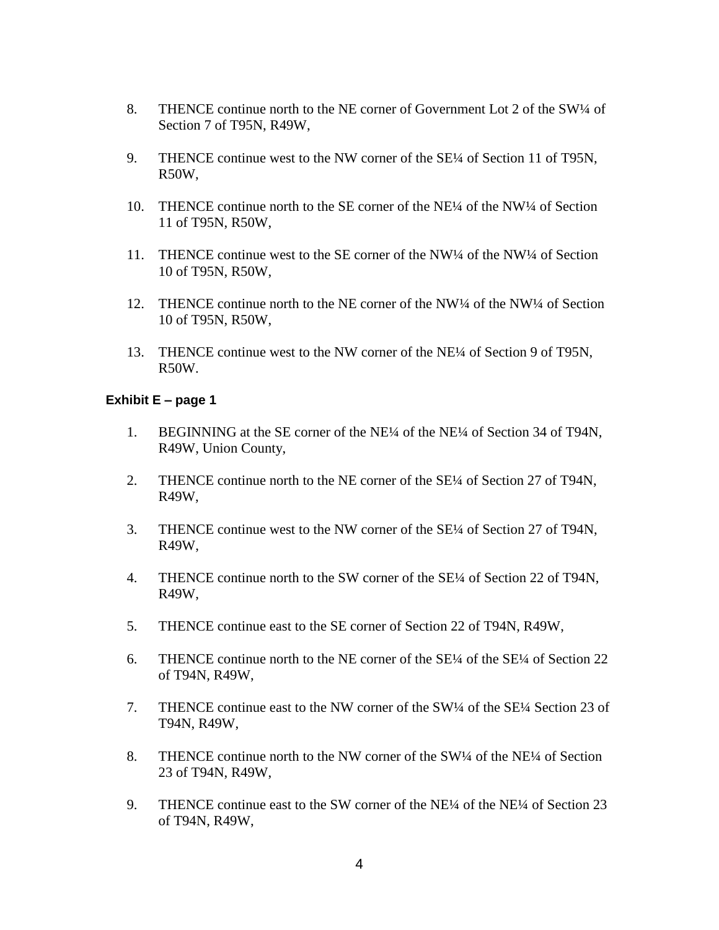- 8. THENCE continue north to the NE corner of Government Lot 2 of the SW1/4 of Section 7 of T95N, R49W,
- 9. THENCE continue west to the NW corner of the SE¼ of Section 11 of T95N, R50W,
- 10. THENCE continue north to the SE corner of the NE<sup>1/4</sup> of the NW<sup>1/4</sup> of Section 11 of T95N, R50W,
- 11. THENCE continue west to the SE corner of the NW¼ of the NW¼ of Section 10 of T95N, R50W,
- 12. THENCE continue north to the NE corner of the NW¼ of the NW¼ of Section 10 of T95N, R50W,
- 13. THENCE continue west to the NW corner of the NE¼ of Section 9 of T95N, R50W.

## **Exhibit E – page 1**

- 1. BEGINNING at the SE corner of the NE¼ of the NE¼ of Section 34 of T94N, R49W, Union County,
- 2. THENCE continue north to the NE corner of the SE<sup>1</sup>/4 of Section 27 of T94N, R49W,
- 3. THENCE continue west to the NW corner of the SE¼ of Section 27 of T94N, R49W,
- 4. THENCE continue north to the SW corner of the SE¼ of Section 22 of T94N, R49W,
- 5. THENCE continue east to the SE corner of Section 22 of T94N, R49W,
- 6. THENCE continue north to the NE corner of the SE¼ of the SE¼ of Section 22 of T94N, R49W,
- 7. THENCE continue east to the NW corner of the SW¼ of the SE¼ Section 23 of T94N, R49W,
- 8. THENCE continue north to the NW corner of the SW1/4 of the NE<sup>1</sup>/4 of Section 23 of T94N, R49W,
- 9. THENCE continue east to the SW corner of the NE¼ of the NE¼ of Section 23 of T94N, R49W,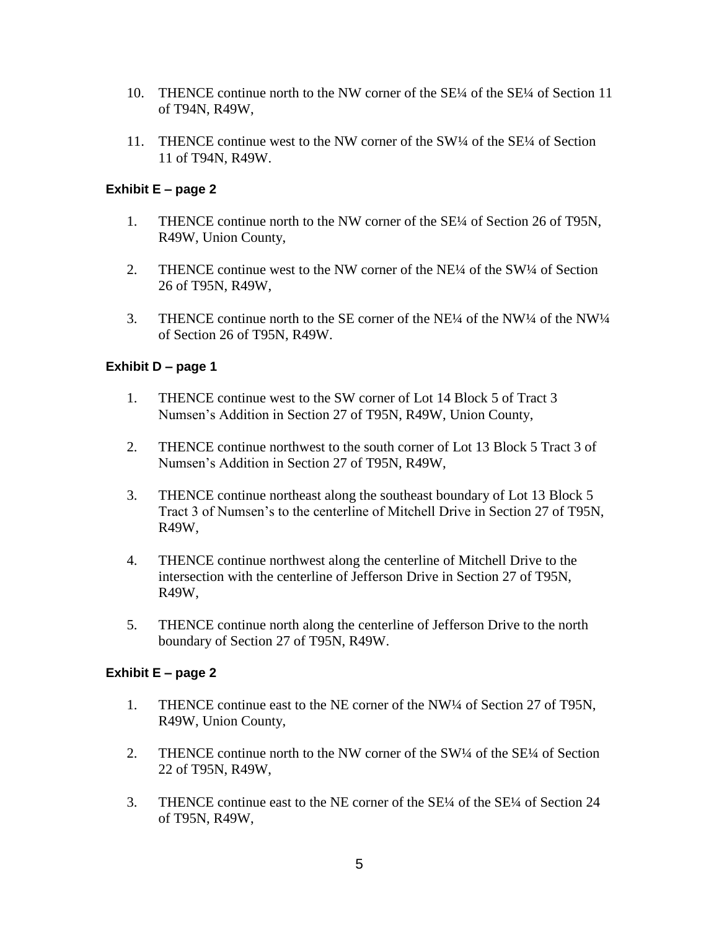- 10. THENCE continue north to the NW corner of the SE¼ of the SE¼ of Section 11 of T94N, R49W,
- 11. THENCE continue west to the NW corner of the SW¼ of the SE¼ of Section 11 of T94N, R49W.

# **Exhibit E – page 2**

- 1. THENCE continue north to the NW corner of the SE¼ of Section 26 of T95N, R49W, Union County,
- 2. THENCE continue west to the NW corner of the NE¼ of the SW¼ of Section 26 of T95N, R49W,
- 3. THENCE continue north to the SE corner of the NE¼ of the NW¼ of the NW¼ of Section 26 of T95N, R49W.

## **Exhibit D – page 1**

- 1. THENCE continue west to the SW corner of Lot 14 Block 5 of Tract 3 Numsen's Addition in Section 27 of T95N, R49W, Union County,
- 2. THENCE continue northwest to the south corner of Lot 13 Block 5 Tract 3 of Numsen's Addition in Section 27 of T95N, R49W,
- 3. THENCE continue northeast along the southeast boundary of Lot 13 Block 5 Tract 3 of Numsen's to the centerline of Mitchell Drive in Section 27 of T95N, R49W,
- 4. THENCE continue northwest along the centerline of Mitchell Drive to the intersection with the centerline of Jefferson Drive in Section 27 of T95N, R49W,
- 5. THENCE continue north along the centerline of Jefferson Drive to the north boundary of Section 27 of T95N, R49W.

#### **Exhibit E – page 2**

- 1. THENCE continue east to the NE corner of the NW¼ of Section 27 of T95N, R49W, Union County,
- 2. THENCE continue north to the NW corner of the SW<sup>1</sup>/4 of the SE<sup>1</sup>/4 of Section 22 of T95N, R49W,
- 3. THENCE continue east to the NE corner of the SE¼ of the SE¼ of Section 24 of T95N, R49W,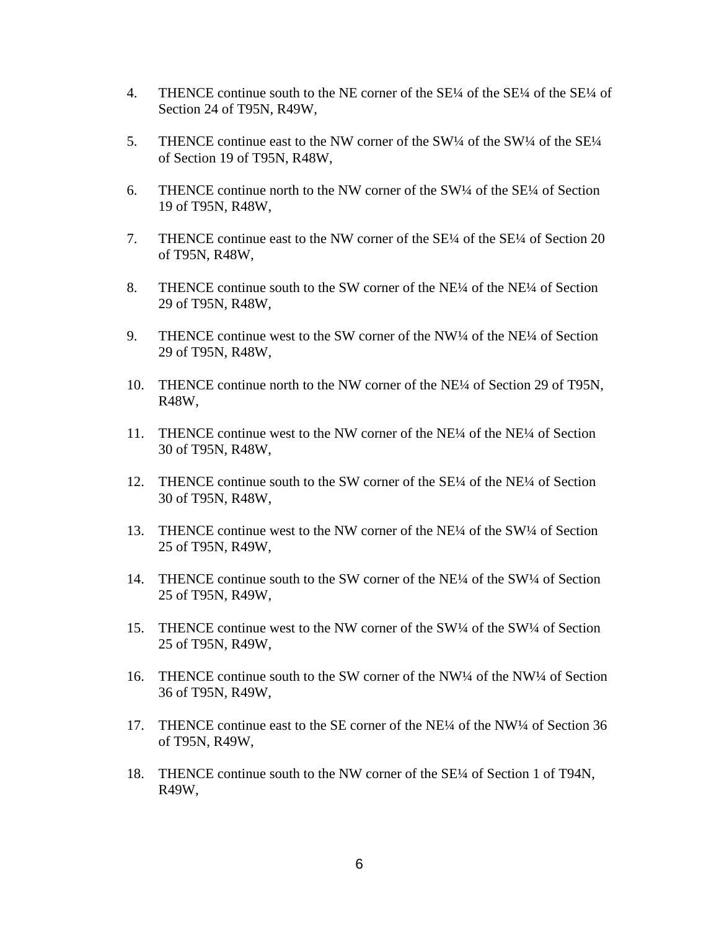- 4. THENCE continue south to the NE corner of the SE¼ of the SE¼ of the SE¼ of Section 24 of T95N, R49W,
- 5. THENCE continue east to the NW corner of the SW¼ of the SW¼ of the SE¼ of Section 19 of T95N, R48W,
- 6. THENCE continue north to the NW corner of the SW $\frac{1}{4}$  of the SE $\frac{1}{4}$  of Section 19 of T95N, R48W,
- 7. THENCE continue east to the NW corner of the SE¼ of the SE¼ of Section 20 of T95N, R48W,
- 8. THENCE continue south to the SW corner of the NE¼ of the NE¼ of Section 29 of T95N, R48W,
- 9. THENCE continue west to the SW corner of the NW¼ of the NE¼ of Section 29 of T95N, R48W,
- 10. THENCE continue north to the NW corner of the NE¼ of Section 29 of T95N, R48W,
- 11. THENCE continue west to the NW corner of the NE¼ of the NE¼ of Section 30 of T95N, R48W,
- 12. THENCE continue south to the SW corner of the SE¼ of the NE¼ of Section 30 of T95N, R48W,
- 13. THENCE continue west to the NW corner of the NE¼ of the SW¼ of Section 25 of T95N, R49W,
- 14. THENCE continue south to the SW corner of the NE $\frac{1}{4}$  of the SW $\frac{1}{4}$  of Section 25 of T95N, R49W,
- 15. THENCE continue west to the NW corner of the SW¼ of the SW¼ of Section 25 of T95N, R49W,
- 16. THENCE continue south to the SW corner of the NW¼ of the NW¼ of Section 36 of T95N, R49W,
- 17. THENCE continue east to the SE corner of the NE¼ of the NW¼ of Section 36 of T95N, R49W,
- 18. THENCE continue south to the NW corner of the SE¼ of Section 1 of T94N, R49W,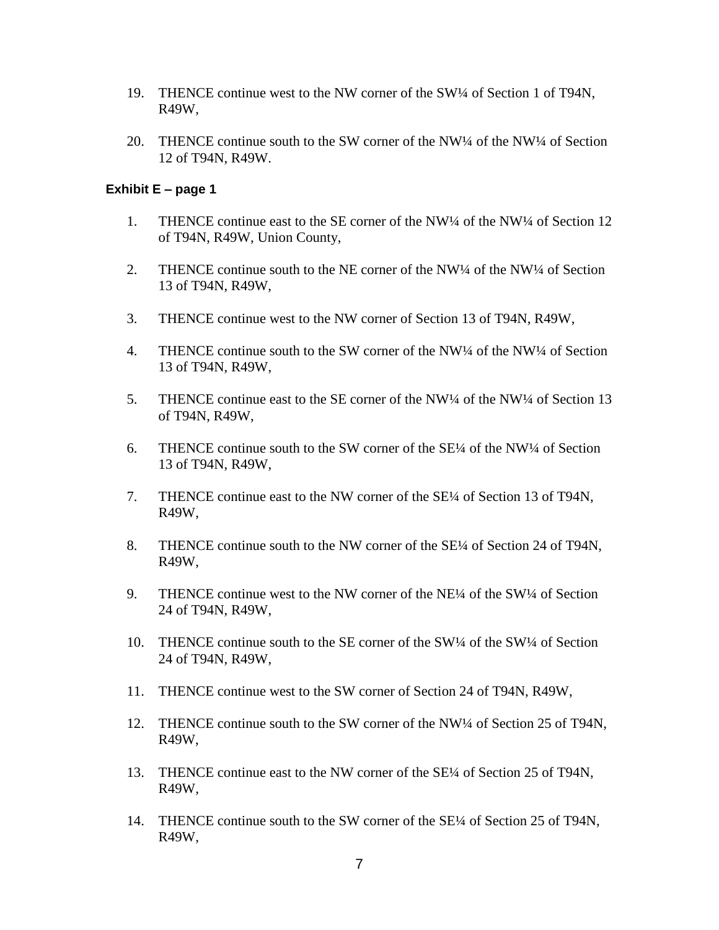- 19. THENCE continue west to the NW corner of the SW¼ of Section 1 of T94N, R49W,
- 20. THENCE continue south to the SW corner of the NW¼ of the NW¼ of Section 12 of T94N, R49W.

#### **Exhibit E – page 1**

- 1. THENCE continue east to the SE corner of the NW<sup>1</sup>/4 of the NW<sup>1</sup>/4 of Section 12 of T94N, R49W, Union County,
- 2. THENCE continue south to the NE corner of the NW<sup>1/4</sup> of the NW<sup>1/4</sup> of Section 13 of T94N, R49W,
- 3. THENCE continue west to the NW corner of Section 13 of T94N, R49W,
- 4. THENCE continue south to the SW corner of the NW<sup>1/4</sup> of the NW<sup>1/4</sup> of Section 13 of T94N, R49W,
- 5. THENCE continue east to the SE corner of the NW¼ of the NW¼ of Section 13 of T94N, R49W,
- 6. THENCE continue south to the SW corner of the SE¼ of the NW¼ of Section 13 of T94N, R49W,
- 7. THENCE continue east to the NW corner of the SE¼ of Section 13 of T94N, R49W,
- 8. THENCE continue south to the NW corner of the SE¼ of Section 24 of T94N, R49W,
- 9. THENCE continue west to the NW corner of the NE<sup>1/4</sup> of the SW<sup>1/4</sup> of Section 24 of T94N, R49W,
- 10. THENCE continue south to the SE corner of the SW¼ of the SW¼ of Section 24 of T94N, R49W,
- 11. THENCE continue west to the SW corner of Section 24 of T94N, R49W,
- 12. THENCE continue south to the SW corner of the NW¼ of Section 25 of T94N, R49W,
- 13. THENCE continue east to the NW corner of the SE¼ of Section 25 of T94N, R49W,
- 14. THENCE continue south to the SW corner of the SE¼ of Section 25 of T94N, R49W,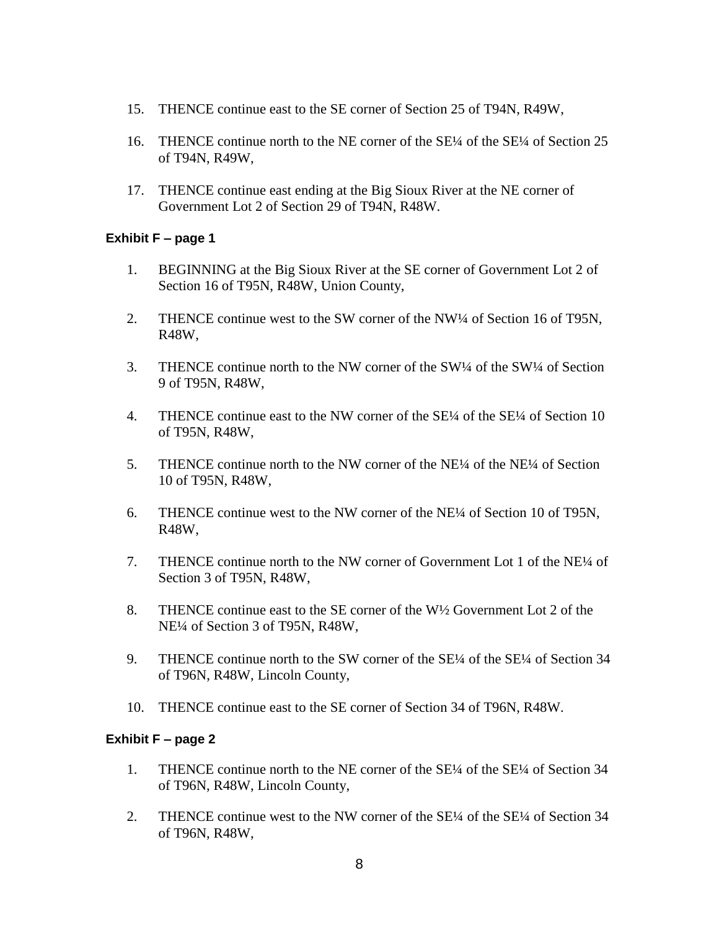- 15. THENCE continue east to the SE corner of Section 25 of T94N, R49W,
- 16. THENCE continue north to the NE corner of the SE¼ of the SE¼ of Section 25 of T94N, R49W,
- 17. THENCE continue east ending at the Big Sioux River at the NE corner of Government Lot 2 of Section 29 of T94N, R48W.

## **Exhibit F – page 1**

- 1. BEGINNING at the Big Sioux River at the SE corner of Government Lot 2 of Section 16 of T95N, R48W, Union County,
- 2. THENCE continue west to the SW corner of the NW¼ of Section 16 of T95N, R48W,
- 3. THENCE continue north to the NW corner of the SW¼ of the SW¼ of Section 9 of T95N, R48W,
- 4. THENCE continue east to the NW corner of the SE¼ of the SE¼ of Section 10 of T95N, R48W,
- 5. THENCE continue north to the NW corner of the NE<sup>1/4</sup> of the NE<sup>1/4</sup> of Section 10 of T95N, R48W,
- 6. THENCE continue west to the NW corner of the NE¼ of Section 10 of T95N, R48W,
- 7. THENCE continue north to the NW corner of Government Lot 1 of the NE¼ of Section 3 of T95N, R48W,
- 8. THENCE continue east to the SE corner of the W½ Government Lot 2 of the NE¼ of Section 3 of T95N, R48W,
- 9. THENCE continue north to the SW corner of the SE¼ of the SE¼ of Section 34 of T96N, R48W, Lincoln County,
- 10. THENCE continue east to the SE corner of Section 34 of T96N, R48W.

# **Exhibit F – page 2**

- 1. THENCE continue north to the NE corner of the SE¼ of the SE¼ of Section 34 of T96N, R48W, Lincoln County,
- 2. THENCE continue west to the NW corner of the SE¼ of the SE¼ of Section 34 of T96N, R48W,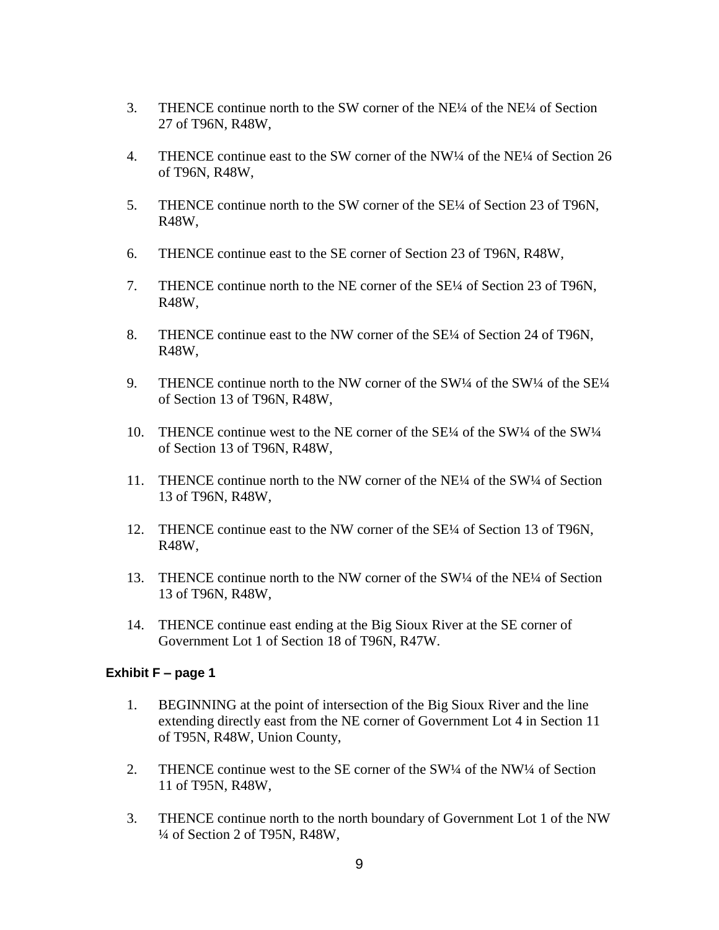- 3. THENCE continue north to the SW corner of the NE¼ of the NE¼ of Section 27 of T96N, R48W,
- 4. THENCE continue east to the SW corner of the NW¼ of the NE¼ of Section 26 of T96N, R48W,
- 5. THENCE continue north to the SW corner of the SE¼ of Section 23 of T96N, R48W,
- 6. THENCE continue east to the SE corner of Section 23 of T96N, R48W,
- 7. THENCE continue north to the NE corner of the SE¼ of Section 23 of T96N, R48W,
- 8. THENCE continue east to the NW corner of the SE¼ of Section 24 of T96N, R48W,
- 9. THENCE continue north to the NW corner of the SW¼ of the SW¼ of the SE $\frac{1}{4}$ of Section 13 of T96N, R48W,
- 10. THENCE continue west to the NE corner of the SE¼ of the SW¼ of the SW¼ of Section 13 of T96N, R48W,
- 11. THENCE continue north to the NW corner of the NE¼ of the SW¼ of Section 13 of T96N, R48W,
- 12. THENCE continue east to the NW corner of the SE<sup>1/4</sup> of Section 13 of T96N, R48W,
- 13. THENCE continue north to the NW corner of the SW1/4 of the NE1/4 of Section 13 of T96N, R48W,
- 14. THENCE continue east ending at the Big Sioux River at the SE corner of Government Lot 1 of Section 18 of T96N, R47W.

#### **Exhibit F – page 1**

- 1. BEGINNING at the point of intersection of the Big Sioux River and the line extending directly east from the NE corner of Government Lot 4 in Section 11 of T95N, R48W, Union County,
- 2. THENCE continue west to the SE corner of the SW $\frac{1}{4}$  of the NW $\frac{1}{4}$  of Section 11 of T95N, R48W,
- 3. THENCE continue north to the north boundary of Government Lot 1 of the NW ¼ of Section 2 of T95N, R48W,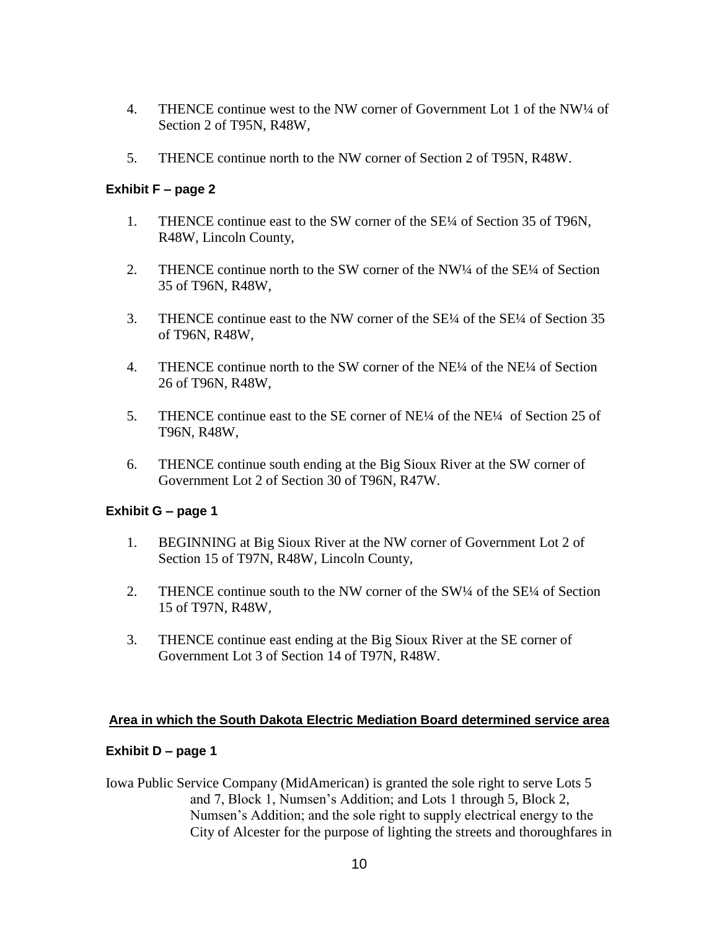- 4. THENCE continue west to the NW corner of Government Lot 1 of the NW¼ of Section 2 of T95N, R48W,
- 5. THENCE continue north to the NW corner of Section 2 of T95N, R48W.

## **Exhibit F – page 2**

- 1. THENCE continue east to the SW corner of the SE¼ of Section 35 of T96N, R48W, Lincoln County,
- 2. THENCE continue north to the SW corner of the NW¼ of the SE¼ of Section 35 of T96N, R48W,
- 3. THENCE continue east to the NW corner of the SE¼ of the SE¼ of Section 35 of T96N, R48W,
- 4. THENCE continue north to the SW corner of the NE¼ of the NE¼ of Section 26 of T96N, R48W,
- 5. THENCE continue east to the SE corner of NE¼ of the NE¼ of Section 25 of T96N, R48W,
- 6. THENCE continue south ending at the Big Sioux River at the SW corner of Government Lot 2 of Section 30 of T96N, R47W.

#### **Exhibit G – page 1**

- 1. BEGINNING at Big Sioux River at the NW corner of Government Lot 2 of Section 15 of T97N, R48W, Lincoln County,
- 2. THENCE continue south to the NW corner of the SW<sup>1</sup>/4 of the SE<sup>1</sup>/4 of Section 15 of T97N, R48W,
- 3. THENCE continue east ending at the Big Sioux River at the SE corner of Government Lot 3 of Section 14 of T97N, R48W.

#### **Area in which the South Dakota Electric Mediation Board determined service area**

#### **Exhibit D – page 1**

Iowa Public Service Company (MidAmerican) is granted the sole right to serve Lots 5 and 7, Block 1, Numsen's Addition; and Lots 1 through 5, Block 2, Numsen's Addition; and the sole right to supply electrical energy to the City of Alcester for the purpose of lighting the streets and thoroughfares in